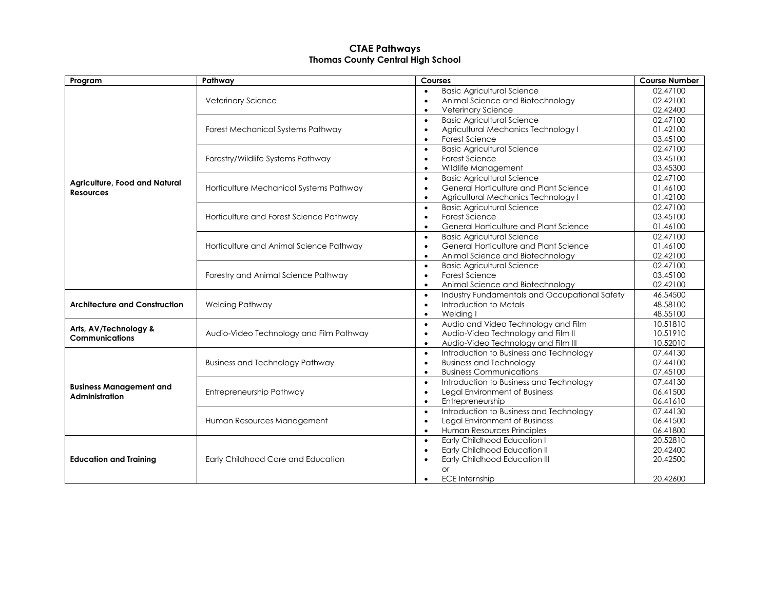## **CTAE Pathways Thomas County Central High School**

| Program                                                 | Pathway                                 | Courses                                                    | <b>Course Number</b> |
|---------------------------------------------------------|-----------------------------------------|------------------------------------------------------------|----------------------|
| Agriculture, Food and Natural<br><b>Resources</b>       | Veterinary Science                      | <b>Basic Agricultural Science</b><br>$\bullet$             | 02.47100             |
|                                                         |                                         | Animal Science and Biotechnology<br>$\bullet$              | 02.42100             |
|                                                         |                                         | Veterinary Science<br>$\bullet$                            | 02.42400             |
|                                                         | Forest Mechanical Systems Pathway       | <b>Basic Agricultural Science</b><br>$\bullet$             | 02.47100             |
|                                                         |                                         | Agricultural Mechanics Technology I<br>$\bullet$           | 01.42100             |
|                                                         |                                         | Forest Science<br>$\bullet$                                | 03.45100             |
|                                                         | Forestry/Wildlife Systems Pathway       | <b>Basic Agricultural Science</b><br>$\bullet$             | 02.47100             |
|                                                         |                                         | Forest Science<br>$\bullet$                                | 03.45100             |
|                                                         |                                         | Wildlife Management<br>$\bullet$                           | 03.45300             |
|                                                         | Horticulture Mechanical Systems Pathway | <b>Basic Agricultural Science</b><br>$\bullet$             | 02.47100             |
|                                                         |                                         | General Horticulture and Plant Science<br>$\bullet$        | 01.46100             |
|                                                         |                                         | Agricultural Mechanics Technology I<br>$\bullet$           | 01.42100             |
|                                                         | Horticulture and Forest Science Pathway | <b>Basic Agricultural Science</b><br>$\bullet$             | 02.47100             |
|                                                         |                                         | Forest Science<br>$\bullet$                                | 03.45100             |
|                                                         |                                         | General Horticulture and Plant Science<br>$\bullet$        | 01.46100             |
|                                                         | Horticulture and Animal Science Pathway | <b>Basic Agricultural Science</b><br>$\bullet$             | 02.47100             |
|                                                         |                                         | General Horticulture and Plant Science<br>$\bullet$        | 01.46100             |
|                                                         |                                         | Animal Science and Biotechnology<br>$\bullet$              | 02.42100             |
|                                                         | Forestry and Animal Science Pathway     | <b>Basic Agricultural Science</b><br>$\bullet$             | 02.47100             |
|                                                         |                                         | Forest Science<br>$\bullet$                                | 03.45100             |
|                                                         |                                         | Animal Science and Biotechnology<br>$\bullet$              | 02.42100             |
| <b>Architecture and Construction</b>                    | Welding Pathway                         | Industry Fundamentals and Occupational Safety<br>$\bullet$ | 46.54500             |
|                                                         |                                         | Introduction to Metals<br>$\bullet$                        | 48.58100             |
|                                                         |                                         | Welding I<br>$\bullet$                                     | 48.55100             |
| Arts, AV/Technology &<br><b>Communications</b>          | Audio-Video Technology and Film Pathway | Audio and Video Technology and Film<br>$\bullet$           | 10.51810             |
|                                                         |                                         | Audio-Video Technology and Film II<br>$\bullet$            | 10.51910             |
|                                                         |                                         | Audio-Video Technology and Film III<br>$\bullet$           | 10.52010             |
| <b>Business Management and</b><br><b>Administration</b> | <b>Business and Technology Pathway</b>  | Introduction to Business and Technology<br>$\bullet$       | 07.44130             |
|                                                         |                                         | <b>Business and Technology</b><br>$\bullet$                | 07.44100             |
|                                                         |                                         | <b>Business Communications</b><br>$\bullet$                | 07.45100             |
|                                                         | Entrepreneurship Pathway                | Introduction to Business and Technology<br>$\bullet$       | 07.44130             |
|                                                         |                                         | Legal Environment of Business<br>$\bullet$                 | 06.41500             |
|                                                         |                                         | Entrepreneurship<br>$\bullet$                              | 06.41610             |
|                                                         | Human Resources Management              | Introduction to Business and Technology<br>$\bullet$       | 07.44130             |
|                                                         |                                         | Legal Environment of Business<br>$\bullet$                 | 06.41500             |
|                                                         |                                         | Human Resources Principles<br>$\bullet$                    | 06.41800             |
| <b>Education and Training</b>                           | Early Childhood Care and Education      | Early Childhood Education I<br>$\bullet$                   | 20.52810             |
|                                                         |                                         | Early Childhood Education II<br>$\bullet$                  | 20.42400             |
|                                                         |                                         | Early Childhood Education III<br>$\bullet$                 | 20.42500             |
|                                                         |                                         | <b>or</b>                                                  |                      |
|                                                         |                                         | <b>ECE Internship</b><br>$\bullet$                         | 20.42600             |